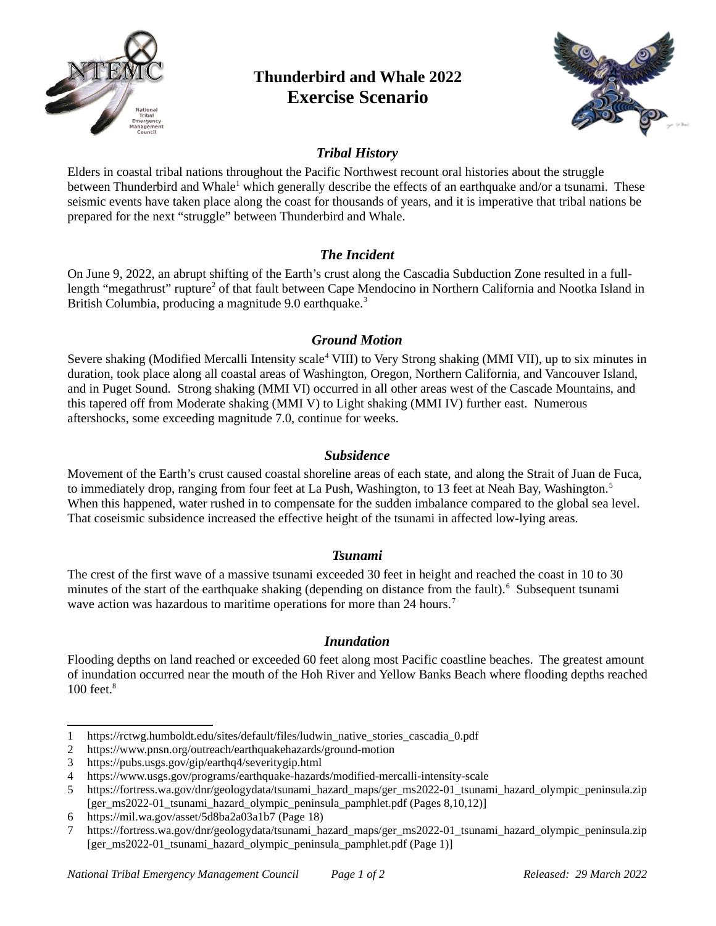

# **Thunderbird and Whale 2022 Exercise Scenario**



## *Tribal History*

Elders in coastal tribal nations throughout the Pacific Northwest recount oral histories about the struggle between Thunderbird and Whale<sup>[1](#page-0-0)</sup> which generally describe the effects of an earthquake and/or a tsunami. These seismic events have taken place along the coast for thousands of years, and it is imperative that tribal nations be prepared for the next "struggle" between Thunderbird and Whale.

## *The Incident*

On June 9, 2022, an abrupt shifting of the Earth's crust along the Cascadia Subduction Zone resulted in a full-length "megathrust" rupture<sup>[2](#page-0-1)</sup> of that fault between Cape Mendocino in Northern California and Nootka Island in British Columbia, producing a magnitude 9.0 earthquake.<sup>[3](#page-0-2)</sup>

## *Ground Motion*

Severe shaking (Modified Mercalli Intensity scale<sup>[4](#page-0-3)</sup> VIII) to Very Strong shaking (MMI VII), up to six minutes in duration, took place along all coastal areas of Washington, Oregon, Northern California, and Vancouver Island, and in Puget Sound. Strong shaking (MMI VI) occurred in all other areas west of the Cascade Mountains, and this tapered off from Moderate shaking (MMI V) to Light shaking (MMI IV) further east. Numerous aftershocks, some exceeding magnitude 7.0, continue for weeks.

#### *Subsidence*

Movement of the Earth's crust caused coastal shoreline areas of each state, and along the Strait of Juan de Fuca, to immediately drop, ranging from four feet at La Push, Washington, to 13 feet at Neah Bay, Washington.<sup>[5](#page-0-4)</sup> When this happened, water rushed in to compensate for the sudden imbalance compared to the global sea level. That coseismic subsidence increased the effective height of the tsunami in affected low-lying areas.

#### *Tsunami*

The crest of the first wave of a massive tsunami exceeded 30 feet in height and reached the coast in 10 to 30 minutes of the start of the earthquake shaking (depending on distance from the fault). $<sup>6</sup>$  $<sup>6</sup>$  $<sup>6</sup>$  Subsequent tsunami</sup> wave action was hazardous to maritime operations for more than 24 hours.<sup>[7](#page-0-6)</sup>

#### *Inundation*

Flooding depths on land reached or exceeded 60 feet along most Pacific coastline beaches. The greatest amount of inundation occurred near the mouth of the Hoh River and Yellow Banks Beach where flooding depths reached 100 feet.<sup>8</sup>

<span id="page-0-0"></span><sup>1</sup> https://rctwg.humboldt.edu/sites/default/files/ludwin\_native\_stories\_cascadia\_0.pdf

<span id="page-0-1"></span><sup>2</sup> https://www.pnsn.org/outreach/earthquakehazards/ground-motion

<span id="page-0-2"></span><sup>3</sup> https://pubs.usgs.gov/gip/earthq4/severitygip.html

<span id="page-0-3"></span><sup>4</sup> https://www.usgs.gov/programs/earthquake-hazards/modified-mercalli-intensity-scale

<span id="page-0-4"></span><sup>5</sup> https://fortress.wa.gov/dnr/geologydata/tsunami\_hazard\_maps/ger\_ms2022-01\_tsunami\_hazard\_olympic\_peninsula.zip [ger\_ms2022-01\_tsunami\_hazard\_olympic\_peninsula\_pamphlet.pdf (Pages 8,10,12)]

<span id="page-0-5"></span><sup>6</sup> https://mil.wa.gov/asset/5d8ba2a03a1b7 (Page 18)

<span id="page-0-6"></span><sup>7</sup> https://fortress.wa.gov/dnr/geologydata/tsunami\_hazard\_maps/ger\_ms2022-01\_tsunami\_hazard\_olympic\_peninsula.zip [ger\_ms2022-01\_tsunami\_hazard\_olympic\_peninsula\_pamphlet.pdf (Page 1)]